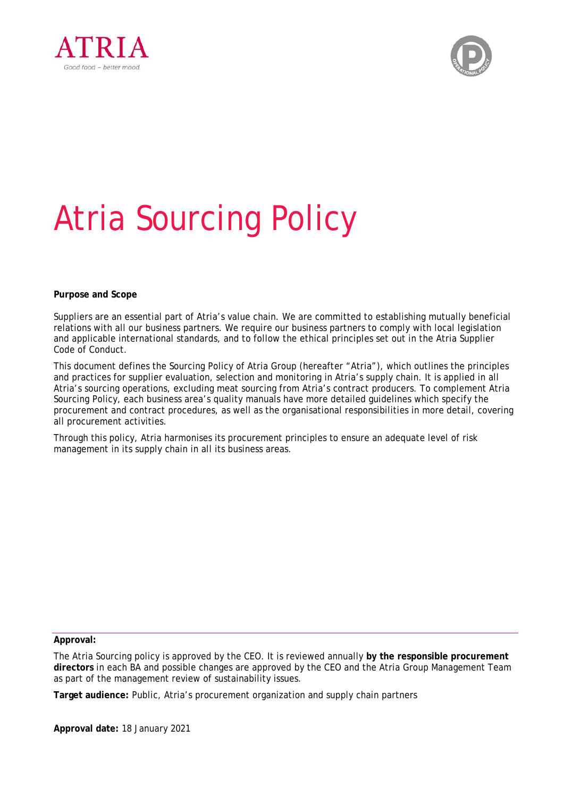



# Atria Sourcing Policy

**Purpose and Scope** 

Suppliers are an essential part of Atria's value chain. We are committed to establishing mutually beneficial relations with all our business partners. We require our business partners to comply with local legislation and applicable international standards, and to follow the ethical principles set out in the Atria Supplier Code of Conduct.

This document defines the Sourcing Policy of Atria Group (hereafter "Atria"), which outlines the principles and practices for supplier evaluation, selection and monitoring in Atria's supply chain. It is applied in all Atria's sourcing operations, excluding meat sourcing from Atria's contract producers. To complement Atria Sourcing Policy, each business area's quality manuals have more detailed guidelines which specify the procurement and contract procedures, as well as the organisational responsibilities in more detail, covering all procurement activities.

Through this policy, Atria harmonises its procurement principles to ensure an adequate level of risk management in its supply chain in all its business areas.

**Approval:** 

The Atria Sourcing policy is approved by the CEO. It is reviewed annually **by the responsible procurement directors** in each BA and possible changes are approved by the CEO and the Atria Group Management Team as part of the management review of sustainability issues.

**Target audience:** Public, Atria's procurement organization and supply chain partners

**Approval date:** 18 January 2021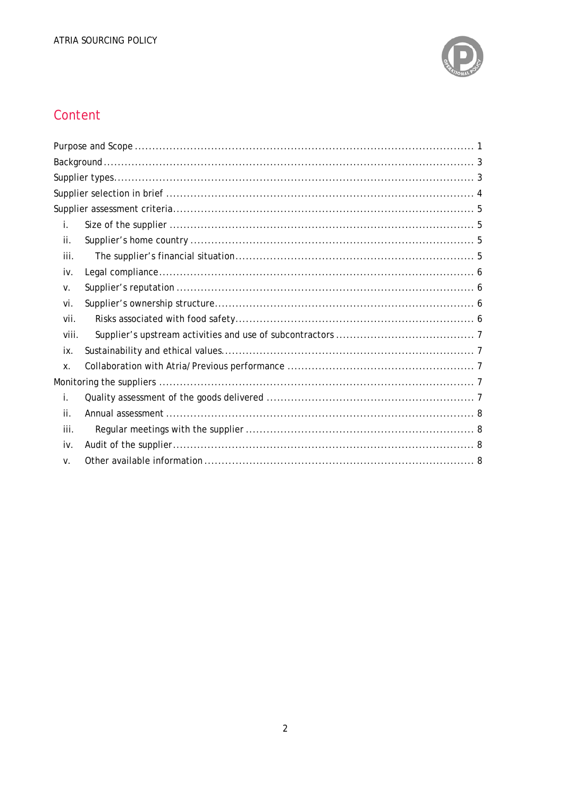

## Content

| İ.    |  |
|-------|--|
| ii.   |  |
| iii.  |  |
| iv.   |  |
| V.    |  |
| vi.   |  |
| vii.  |  |
| viii. |  |
| ix.   |  |
| Χ.    |  |
|       |  |
| i.    |  |
| ii.   |  |
| iii.  |  |
| iv.   |  |
| V.    |  |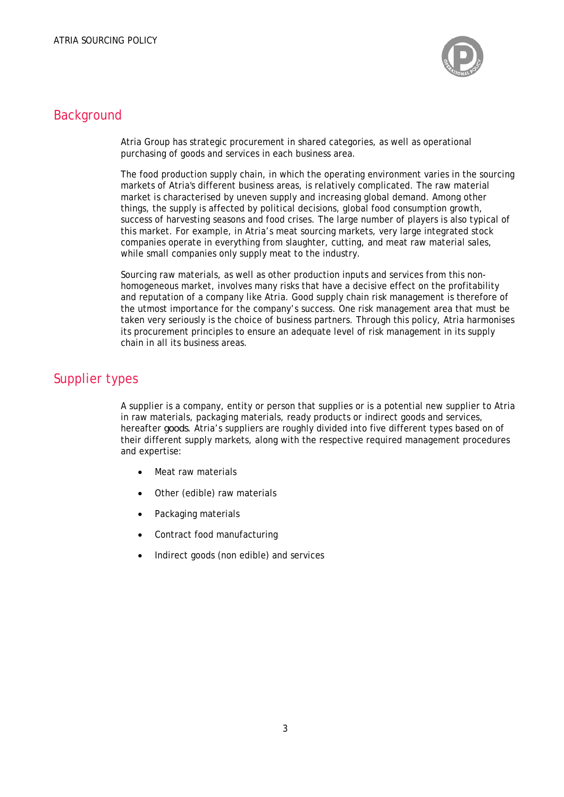

## **Background**

Atria Group has strategic procurement in shared categories, as well as operational purchasing of goods and services in each business area.

The food production supply chain, in which the operating environment varies in the sourcing markets of Atria's different business areas, is relatively complicated. The raw material market is characterised by uneven supply and increasing global demand. Among other things, the supply is affected by political decisions, global food consumption growth, success of harvesting seasons and food crises. The large number of players is also typical of this market. For example, in Atria's meat sourcing markets, very large integrated stock companies operate in everything from slaughter, cutting, and meat raw material sales, while small companies only supply meat to the industry.

Sourcing raw materials, as well as other production inputs and services from this nonhomogeneous market, involves many risks that have a decisive effect on the profitability and reputation of a company like Atria. Good supply chain risk management is therefore of the utmost importance for the company's success. One risk management area that must be taken very seriously is the choice of business partners. Through this policy, Atria harmonises its procurement principles to ensure an adequate level of risk management in its supply chain in all its business areas.

## Supplier types

A supplier is a company, entity or person that supplies or is a potential new supplier to Atria in raw materials, packaging materials, ready products or indirect goods and services, hereafter *goods*. Atria's suppliers are roughly divided into five different types based on of their different supply markets, along with the respective required management procedures and expertise:

- Meat raw materials
- Other (edible) raw materials
- Packaging materials
- Contract food manufacturing
- Indirect goods (non edible) and services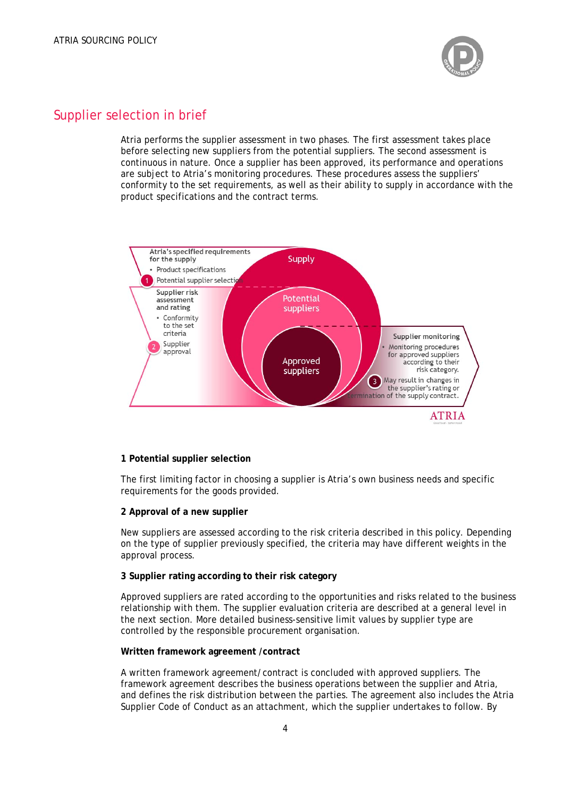

## Supplier selection in brief

Atria performs the supplier assessment in two phases. The first assessment takes place before selecting new suppliers from the potential suppliers. The second assessment is continuous in nature. Once a supplier has been approved, its performance and operations are subject to Atria's monitoring procedures. These procedures assess the suppliers' conformity to the set requirements, as well as their ability to supply in accordance with the product specifications and the contract terms.



#### **1 Potential supplier selection**

The first limiting factor in choosing a supplier is Atria's own business needs and specific requirements for the goods provided.

#### **2 Approval of a new supplier**

New suppliers are assessed according to the risk criteria described in this policy. Depending on the type of supplier previously specified, the criteria may have different weights in the approval process.

#### **3 Supplier rating according to their risk category**

Approved suppliers are rated according to the opportunities and risks related to the business relationship with them. The supplier evaluation criteria are described at a general level in the next section. More detailed business-sensitive limit values by supplier type are controlled by the responsible procurement organisation.

#### **Written framework agreement /contract**

A written framework agreement/contract is concluded with approved suppliers. The framework agreement describes the business operations between the supplier and Atria, and defines the risk distribution between the parties. The agreement also includes the Atria Supplier Code of Conduct as an attachment, which the supplier undertakes to follow. By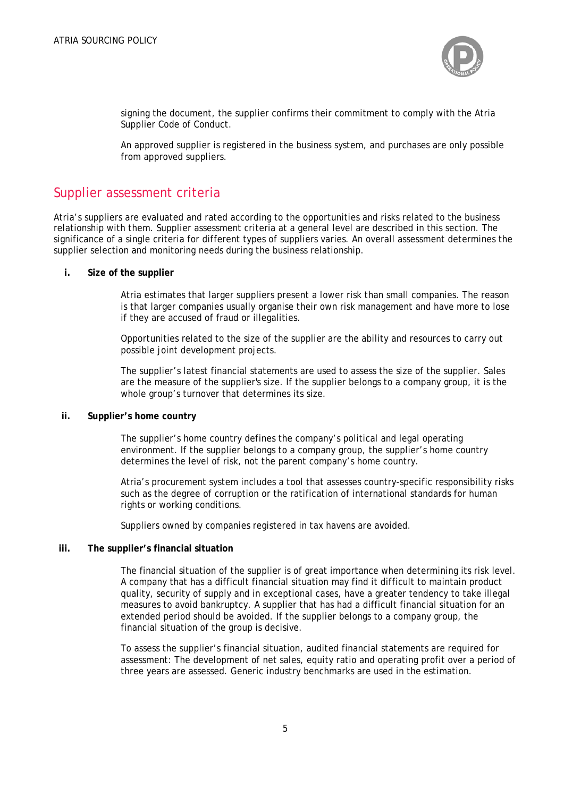

signing the document, the supplier confirms their commitment to comply with the Atria Supplier Code of Conduct.

An approved supplier is registered in the business system, and purchases are only possible from approved suppliers.

## Supplier assessment criteria

Atria's suppliers are evaluated and rated according to the opportunities and risks related to the business relationship with them. Supplier assessment criteria at a general level are described in this section. The significance of a single criteria for different types of suppliers varies. An overall assessment determines the supplier selection and monitoring needs during the business relationship.

#### **i. Size of the supplier**

Atria estimates that larger suppliers present a lower risk than small companies. The reason is that larger companies usually organise their own risk management and have more to lose if they are accused of fraud or illegalities.

Opportunities related to the size of the supplier are the ability and resources to carry out possible joint development projects.

The supplier's latest financial statements are used to assess the size of the supplier. Sales are the measure of the supplier's size. If the supplier belongs to a company group, it is the whole group's turnover that determines its size.

#### **ii. Supplier's home country**

The supplier's home country defines the company's political and legal operating environment. If the supplier belongs to a company group, the supplier's home country determines the level of risk, not the parent company's home country.

Atria's procurement system includes a tool that assesses country-specific responsibility risks such as the degree of corruption or the ratification of international standards for human rights or working conditions.

Suppliers owned by companies registered in tax havens are avoided.

#### **iii. The supplier's financial situation**

The financial situation of the supplier is of great importance when determining its risk level. A company that has a difficult financial situation may find it difficult to maintain product quality, security of supply and in exceptional cases, have a greater tendency to take illegal measures to avoid bankruptcy. A supplier that has had a difficult financial situation for an extended period should be avoided. If the supplier belongs to a company group, the financial situation of the group is decisive.

To assess the supplier's financial situation, audited financial statements are required for assessment: The development of net sales, equity ratio and operating profit over a period of three years are assessed. Generic industry benchmarks are used in the estimation.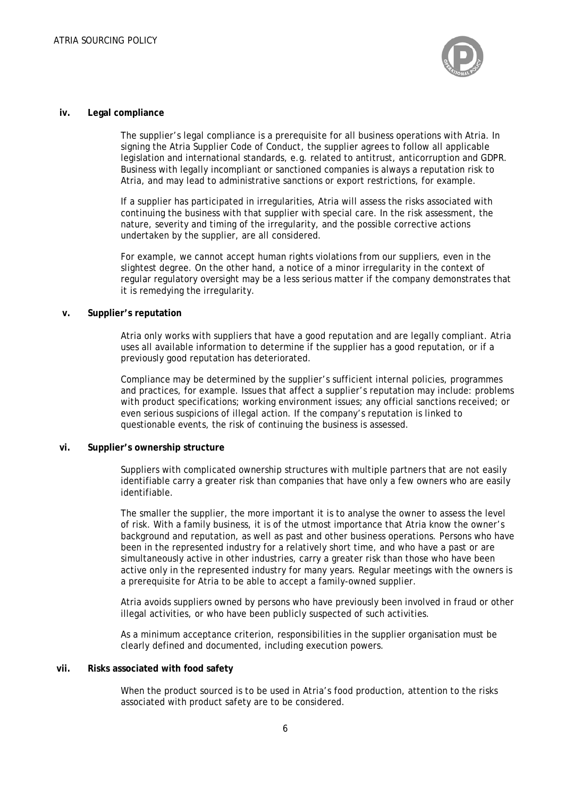

#### **iv. Legal compliance**

The supplier's legal compliance is a prerequisite for all business operations with Atria. In signing the Atria Supplier Code of Conduct, the supplier agrees to follow all applicable legislation and international standards, e.g. related to antitrust, anticorruption and GDPR. Business with legally incompliant or sanctioned companies is always a reputation risk to Atria, and may lead to administrative sanctions or export restrictions, for example.

If a supplier has participated in irregularities, Atria will assess the risks associated with continuing the business with that supplier with special care. In the risk assessment, the nature, severity and timing of the irregularity, and the possible corrective actions undertaken by the supplier, are all considered.

For example, we cannot accept human rights violations from our suppliers, even in the slightest degree. On the other hand, a notice of a minor irregularity in the context of regular regulatory oversight may be a less serious matter if the company demonstrates that it is remedying the irregularity.

#### **v. Supplier's reputation**

Atria only works with suppliers that have a good reputation and are legally compliant. Atria uses all available information to determine if the supplier has a good reputation, or if a previously good reputation has deteriorated.

Compliance may be determined by the supplier's sufficient internal policies, programmes and practices, for example. Issues that affect a supplier's reputation may include: problems with product specifications; working environment issues; any official sanctions received; or even serious suspicions of illegal action. If the company's reputation is linked to questionable events, the risk of continuing the business is assessed.

#### **vi. Supplier's ownership structure**

Suppliers with complicated ownership structures with multiple partners that are not easily identifiable carry a greater risk than companies that have only a few owners who are easily identifiable.

The smaller the supplier, the more important it is to analyse the owner to assess the level of risk. With a family business, it is of the utmost importance that Atria know the owner's background and reputation, as well as past and other business operations. Persons who have been in the represented industry for a relatively short time, and who have a past or are simultaneously active in other industries, carry a greater risk than those who have been active only in the represented industry for many years. Regular meetings with the owners is a prerequisite for Atria to be able to accept a family-owned supplier.

Atria avoids suppliers owned by persons who have previously been involved in fraud or other illegal activities, or who have been publicly suspected of such activities.

As a minimum acceptance criterion, responsibilities in the supplier organisation must be clearly defined and documented, including execution powers.

#### **vii. Risks associated with food safety**

When the product sourced is to be used in Atria's food production, attention to the risks associated with product safety are to be considered.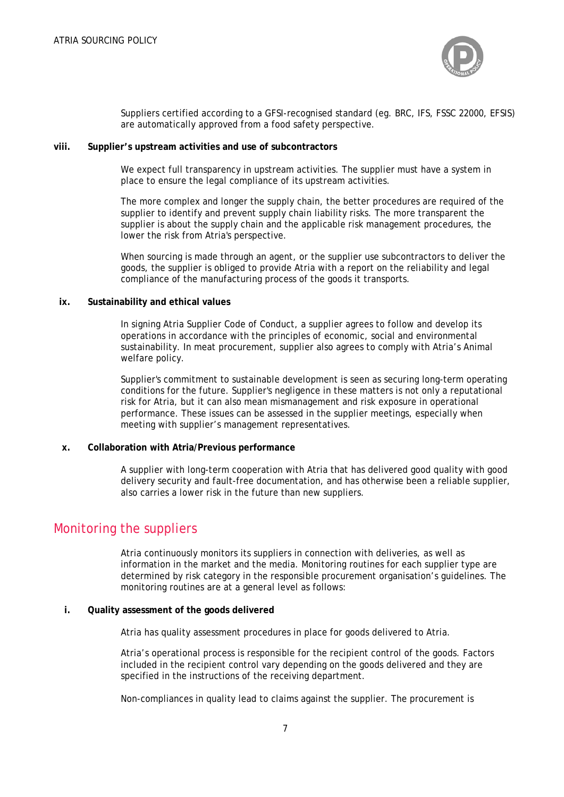

Suppliers certified according to a GFSI-recognised standard (eg. BRC, IFS, FSSC 22000, EFSIS) are automatically approved from a food safety perspective.

#### **viii. Supplier's upstream activities and use of subcontractors**

We expect full transparency in upstream activities. The supplier must have a system in place to ensure the legal compliance of its upstream activities.

The more complex and longer the supply chain, the better procedures are required of the supplier to identify and prevent supply chain liability risks. The more transparent the supplier is about the supply chain and the applicable risk management procedures, the lower the risk from Atria's perspective.

When sourcing is made through an agent, or the supplier use subcontractors to deliver the goods, the supplier is obliged to provide Atria with a report on the reliability and legal compliance of the manufacturing process of the goods it transports.

#### **ix. Sustainability and ethical values**

In signing Atria Supplier Code of Conduct, a supplier agrees to follow and develop its operations in accordance with the principles of economic, social and environmental sustainability. In meat procurement, supplier also agrees to comply with Atria's Animal welfare policy.

Supplier's commitment to sustainable development is seen as securing long-term operating conditions for the future. Supplier's negligence in these matters is not only a reputational risk for Atria, but it can also mean mismanagement and risk exposure in operational performance. These issues can be assessed in the supplier meetings, especially when meeting with supplier's management representatives.

#### **x. Collaboration with Atria/Previous performance**

A supplier with long-term cooperation with Atria that has delivered good quality with good delivery security and fault-free documentation, and has otherwise been a reliable supplier, also carries a lower risk in the future than new suppliers.

### Monitoring the suppliers

Atria continuously monitors its suppliers in connection with deliveries, as well as information in the market and the media. Monitoring routines for each supplier type are determined by risk category in the responsible procurement organisation's guidelines. The monitoring routines are at a general level as follows:

#### **i. Quality assessment of the goods delivered**

Atria has quality assessment procedures in place for goods delivered to Atria.

Atria's operational process is responsible for the recipient control of the goods. Factors included in the recipient control vary depending on the goods delivered and they are specified in the instructions of the receiving department.

Non-compliances in quality lead to claims against the supplier. The procurement is